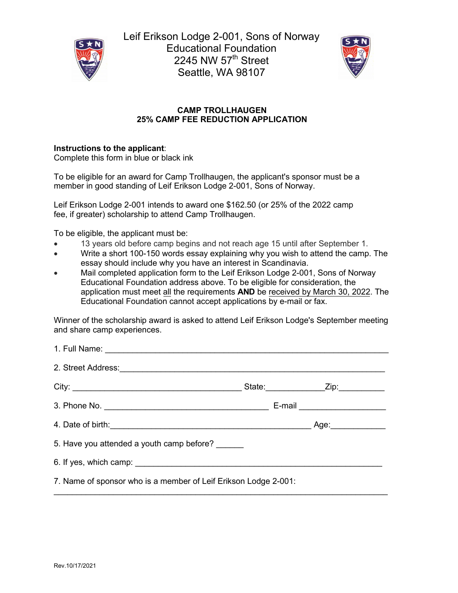

Leif Erikson Lodge 2-001, Sons of Norway Educational Foundation 2245 NW  $57<sup>th</sup>$  Street Seattle, WA 98107



## **CAMP TROLLHAUGEN 25% CAMP FEE REDUCTION APPLICATION**

## **Instructions to the applicant**:

Complete this form in blue or black ink

To be eligible for an award for Camp Trollhaugen, the applicant's sponsor must be a member in good standing of Leif Erikson Lodge 2-001, Sons of Norway.

Leif Erikson Lodge 2-001 intends to award one \$162.50 (or 25% of the 2022 camp fee, if greater) scholarship to attend Camp Trollhaugen.

To be eligible, the applicant must be:

- 13 years old before camp begins and not reach age 15 until after September 1.
- Write a short 100-150 words essay explaining why you wish to attend the camp. The essay should include why you have an interest in Scandinavia.
- Mail completed application form to the Leif Erikson Lodge 2-001, Sons of Norway Educational Foundation address above. To be eligible for consideration, the application must meet all the requirements **AND** be received by March 30, 2022. The Educational Foundation cannot accept applications by e-mail or fax.

Winner of the scholarship award is asked to attend Leif Erikson Lodge's September meeting and share camp experiences.

|                                                                                                                                                                                                                                      |  | State: _____________________Zip: ______________ |  |
|--------------------------------------------------------------------------------------------------------------------------------------------------------------------------------------------------------------------------------------|--|-------------------------------------------------|--|
|                                                                                                                                                                                                                                      |  | E-mail ______________________                   |  |
| 4. Date of birth: <u>contained a series of the series of the series of the series of the series of the series of the series of the series of the series of the series of the series of the series of the series of the series of</u> |  | Age:_____________                               |  |
| 5. Have you attended a youth camp before?                                                                                                                                                                                            |  |                                                 |  |
|                                                                                                                                                                                                                                      |  |                                                 |  |
| 7. Name of sponsor who is a member of Leif Erikson Lodge 2-001:                                                                                                                                                                      |  |                                                 |  |

 $\_$  , and the set of the set of the set of the set of the set of the set of the set of the set of the set of the set of the set of the set of the set of the set of the set of the set of the set of the set of the set of th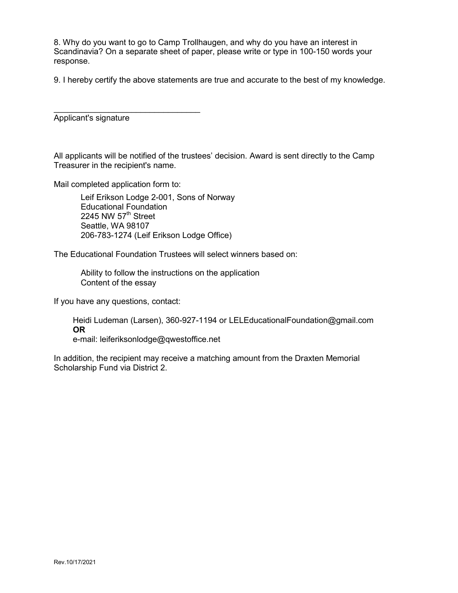8. Why do you want to go to Camp Trollhaugen, and why do you have an interest in Scandinavia? On a separate sheet of paper, please write or type in 100-150 words your response.

9. I hereby certify the above statements are true and accurate to the best of my knowledge.

 $\_$ Applicant's signature

All applicants will be notified of the trustees' decision. Award is sent directly to the Camp Treasurer in the recipient's name.

Mail completed application form to:

Leif Erikson Lodge 2-001, Sons of Norway Educational Foundation 2245 NW  $57<sup>th</sup>$  Street Seattle, WA 98107 206-783-1274 (Leif Erikson Lodge Office)

The Educational Foundation Trustees will select winners based on:

Ability to follow the instructions on the application Content of the essay

If you have any questions, contact:

Heidi Ludeman (Larsen), 360-927-1194 or LELEducationalFoundation@gmail.com **OR**  e-mail: leiferiksonlodge@qwestoffice.net

In addition, the recipient may receive a matching amount from the Draxten Memorial Scholarship Fund via District 2.